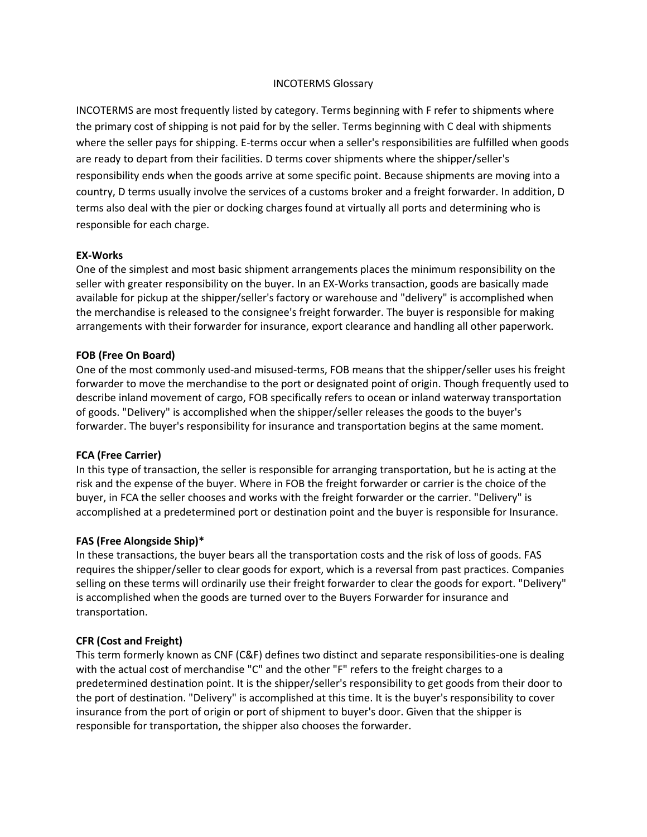## INCOTERMS Glossary

INCOTERMS are most frequently listed by category. Terms beginning with F refer to shipments where the primary cost of shipping is not paid for by the seller. Terms beginning with C deal with shipments where the seller pays for shipping. E-terms occur when a seller's responsibilities are fulfilled when goods are ready to depart from their facilities. D terms cover shipments where the shipper/seller's responsibility ends when the goods arrive at some specific point. Because shipments are moving into a country, D terms usually involve the services of a customs broker and a freight forwarder. In addition, D terms also deal with the pier or docking charges found at virtually all ports and determining who is responsible for each charge.

## **EX-Works**

One of the simplest and most basic shipment arrangements places the minimum responsibility on the seller with greater responsibility on the buyer. In an EX-Works transaction, goods are basically made available for pickup at the shipper/seller's factory or warehouse and "delivery" is accomplished when the merchandise is released to the consignee's freight forwarder. The buyer is responsible for making arrangements with their forwarder for insurance, export clearance and handling all other paperwork.

# **FOB (Free On Board)**

One of the most commonly used-and misused-terms, FOB means that the shipper/seller uses his freight forwarder to move the merchandise to the port or designated point of origin. Though frequently used to describe inland movement of cargo, FOB specifically refers to ocean or inland waterway transportation of goods. "Delivery" is accomplished when the shipper/seller releases the goods to the buyer's forwarder. The buyer's responsibility for insurance and transportation begins at the same moment.

# **FCA (Free Carrier)**

In this type of transaction, the seller is responsible for arranging transportation, but he is acting at the risk and the expense of the buyer. Where in FOB the freight forwarder or carrier is the choice of the buyer, in FCA the seller chooses and works with the freight forwarder or the carrier. "Delivery" is accomplished at a predetermined port or destination point and the buyer is responsible for Insurance.

# **FAS (Free Alongside Ship)\***

In these transactions, the buyer bears all the transportation costs and the risk of loss of goods. FAS requires the shipper/seller to clear goods for export, which is a reversal from past practices. Companies selling on these terms will ordinarily use their freight forwarder to clear the goods for export. "Delivery" is accomplished when the goods are turned over to the Buyers Forwarder for insurance and transportation.

# **CFR (Cost and Freight)**

This term formerly known as CNF (C&F) defines two distinct and separate responsibilities-one is dealing with the actual cost of merchandise "C" and the other "F" refers to the freight charges to a predetermined destination point. It is the shipper/seller's responsibility to get goods from their door to the port of destination. "Delivery" is accomplished at this time. It is the buyer's responsibility to cover insurance from the port of origin or port of shipment to buyer's door. Given that the shipper is responsible for transportation, the shipper also chooses the forwarder.